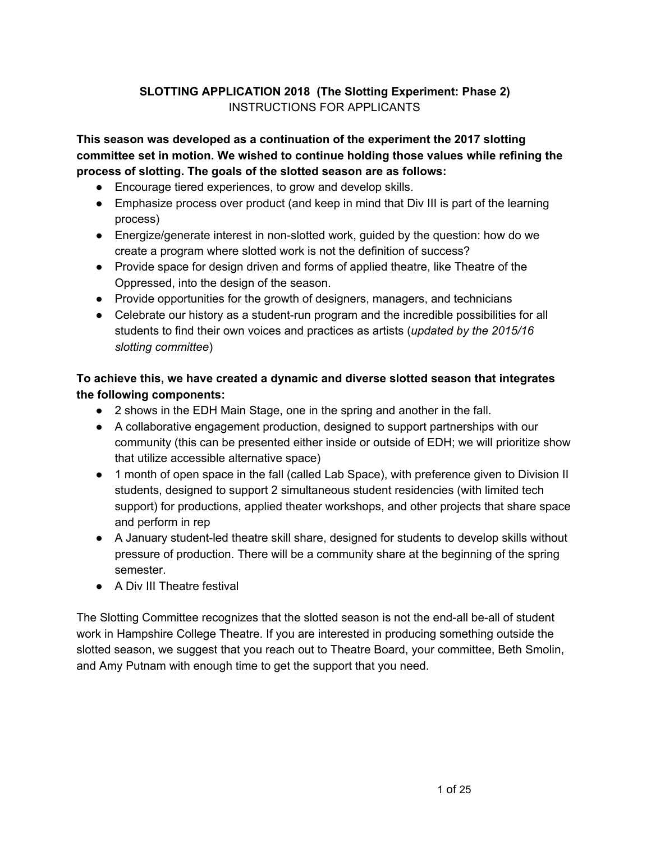# **SLOTTING APPLICATION 2018 (The Slotting Experiment: Phase 2)** INSTRUCTIONS FOR APPLICANTS

**This season was developed as a continuation of the experiment the 2017 slotting committee set in motion. We wished to continue holding those values while refining the process of slotting. The goals of the slotted season are as follows:**

- Encourage tiered experiences, to grow and develop skills.
- Emphasize process over product (and keep in mind that Div III is part of the learning process)
- Energize/generate interest in non-slotted work, guided by the question: how do we create a program where slotted work is not the definition of success?
- Provide space for design driven and forms of applied theatre, like Theatre of the Oppressed, into the design of the season.
- Provide opportunities for the growth of designers, managers, and technicians
- Celebrate our history as a student-run program and the incredible possibilities for all students to find their own voices and practices as artists (*updated by the 2015/16 slotting committee*)

# **To achieve this, we have created a dynamic and diverse slotted season that integrates the following components:**

- 2 shows in the EDH Main Stage, one in the spring and another in the fall.
- A collaborative engagement production, designed to support partnerships with our community (this can be presented either inside or outside of EDH; we will prioritize show that utilize accessible alternative space)
- 1 month of open space in the fall (called Lab Space), with preference given to Division II students, designed to support 2 simultaneous student residencies (with limited tech support) for productions, applied theater workshops, and other projects that share space and perform in rep
- A January student-led theatre skill share, designed for students to develop skills without pressure of production. There will be a community share at the beginning of the spring semester.
- A Div III Theatre festival

The Slotting Committee recognizes that the slotted season is not the end-all be-all of student work in Hampshire College Theatre. If you are interested in producing something outside the slotted season, we suggest that you reach out to Theatre Board, your committee, Beth Smolin, and Amy Putnam with enough time to get the support that you need.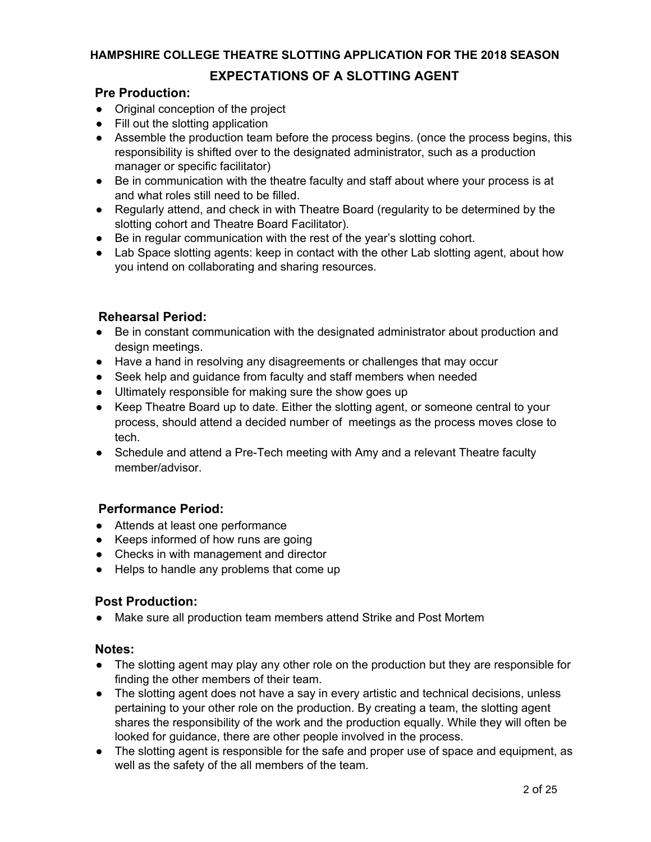# **EXPECTATIONS OF A SLOTTING AGENT**

# **Pre Production:**

- Original conception of the project
- Fill out the slotting application
- Assemble the production team before the process begins. (once the process begins, this responsibility is shifted over to the designated administrator, such as a production manager or specific facilitator)
- Be in communication with the theatre faculty and staff about where your process is at and what roles still need to be filled.
- Regularly attend, and check in with Theatre Board (regularity to be determined by the slotting cohort and Theatre Board Facilitator).
- Be in regular communication with the rest of the year's slotting cohort.
- Lab Space slotting agents: keep in contact with the other Lab slotting agent, about how you intend on collaborating and sharing resources.

# **Rehearsal Period:**

- Be in constant communication with the designated administrator about production and design meetings.
- Have a hand in resolving any disagreements or challenges that may occur
- Seek help and guidance from faculty and staff members when needed
- Ultimately responsible for making sure the show goes up
- Keep Theatre Board up to date. Either the slotting agent, or someone central to your process, should attend a decided number of meetings as the process moves close to tech.
- Schedule and attend a Pre-Tech meeting with Amy and a relevant Theatre faculty member/advisor.

# **Performance Period:**

- Attends at least one performance
- Keeps informed of how runs are going
- Checks in with management and director
- Helps to handle any problems that come up

## **Post Production:**

● Make sure all production team members attend Strike and Post Mortem

## **Notes:**

- The slotting agent may play any other role on the production but they are responsible for finding the other members of their team.
- The slotting agent does not have a say in every artistic and technical decisions, unless pertaining to your other role on the production. By creating a team, the slotting agent shares the responsibility of the work and the production equally. While they will often be looked for guidance, there are other people involved in the process.
- The slotting agent is responsible for the safe and proper use of space and equipment, as well as the safety of the all members of the team.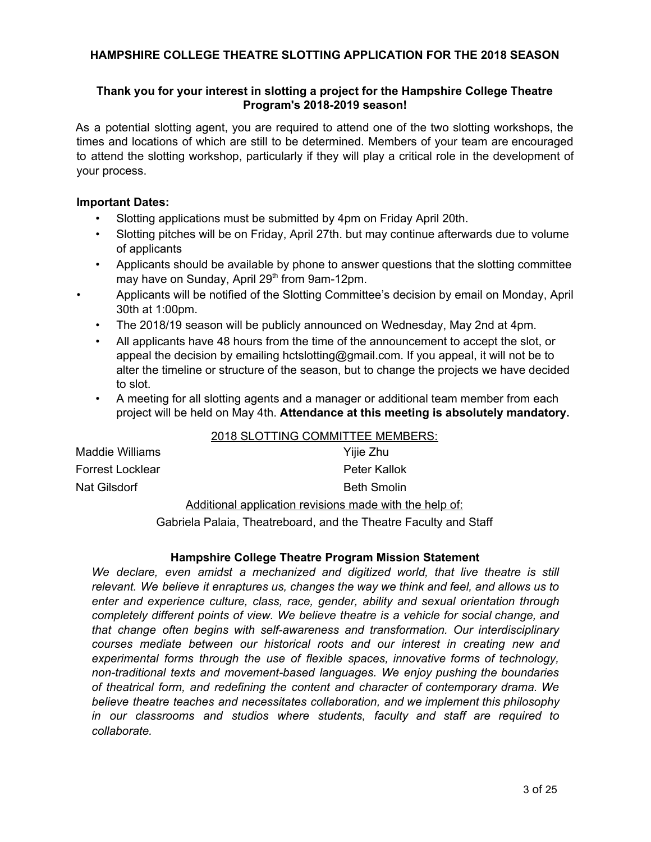## **Thank you for your interest in slotting a project for the Hampshire College Theatre Program's 2018-2019 season!**

As a potential slotting agent, you are required to attend one of the two slotting workshops, the times and locations of which are still to be determined. Members of your team are encouraged to attend the slotting workshop, particularly if they will play a critical role in the development of your process.

#### **Important Dates:**

- Slotting applications must be submitted by 4pm on Friday April 20th.
- Slotting pitches will be on Friday, April 27th. but may continue afterwards due to volume of applicants
- Applicants should be available by phone to answer questions that the slotting committee may have on Sunday, April 29<sup>th</sup> from 9am-12pm.
- Applicants will be notified of the Slotting Committee's decision by email on Monday, April 30th at 1:00pm.
- The 2018/19 season will be publicly announced on Wednesday, May 2nd at 4pm.
- All applicants have 48 hours from the time of the announcement to accept the slot, or appeal the decision by emailing hctslotting@gmail.com. If you appeal, it will not be to alter the timeline or structure of the season, but to change the projects we have decided to slot.
- A meeting for all slotting agents and a manager or additional team member from each project will be held on May 4th. **Attendance at this meeting is absolutely mandatory.**

|                  | 2018 SLOTTING COMMITTEE MEMBERS: |  |  |
|------------------|----------------------------------|--|--|
| Maddie Williams  | Yijie Zhu                        |  |  |
| Forrest Locklear | Peter Kallok                     |  |  |
| Nat Gilsdorf     | <b>Beth Smolin</b>               |  |  |
|                  |                                  |  |  |

Additional application revisions made with the help of:

Gabriela Palaia, Theatreboard, and the Theatre Faculty and Staff

## **Hampshire College Theatre Program Mission Statement**

*We declare, even amidst a mechanized and digitized world, that live theatre is still relevant. We believe it enraptures us, changes the way we think and feel, and allows us to enter and experience culture, class, race, gender, ability and sexual orientation through completely different points of view. We believe theatre is a vehicle for social change, and that change often begins with self-awareness and transformation. Our interdisciplinary courses mediate between our historical roots and our interest in creating new and experimental forms through the use of flexible spaces, innovative forms of technology, non-traditional texts and movement-based languages. We enjoy pushing the boundaries of theatrical form, and redefining the content and character of contemporary drama. We believe theatre teaches and necessitates collaboration, and we implement this philosophy in our classrooms and studios where students, faculty and staff are required to collaborate.*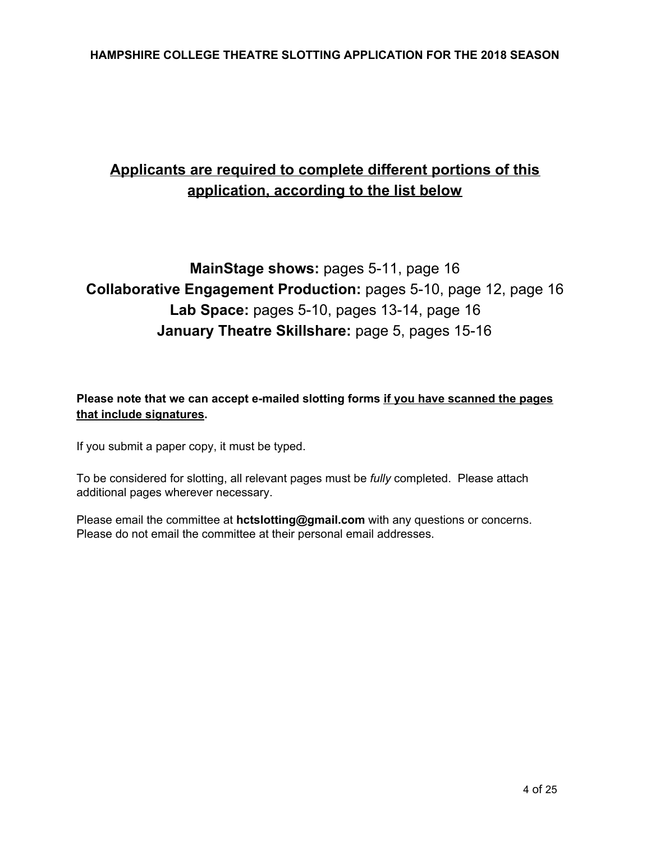# **Applicants are required to complete different portions of this application, according to the list below**

# **MainStage shows:** pages 5-11, page 16 **Collaborative Engagement Production:** pages 5-10, page 12, page 16 **Lab Space:** pages 5-10, pages 13-14, page 16 **January Theatre Skillshare:** page 5, pages 15-16

# **Please note that we can accept e-mailed slotting forms if you have scanned the pages that include signatures.**

If you submit a paper copy, it must be typed.

To be considered for slotting, all relevant pages must be *fully* completed. Please attach additional pages wherever necessary.

Please email the committee at **hctslotting@gmail.com** with any questions or concerns. Please do not email the committee at their personal email addresses.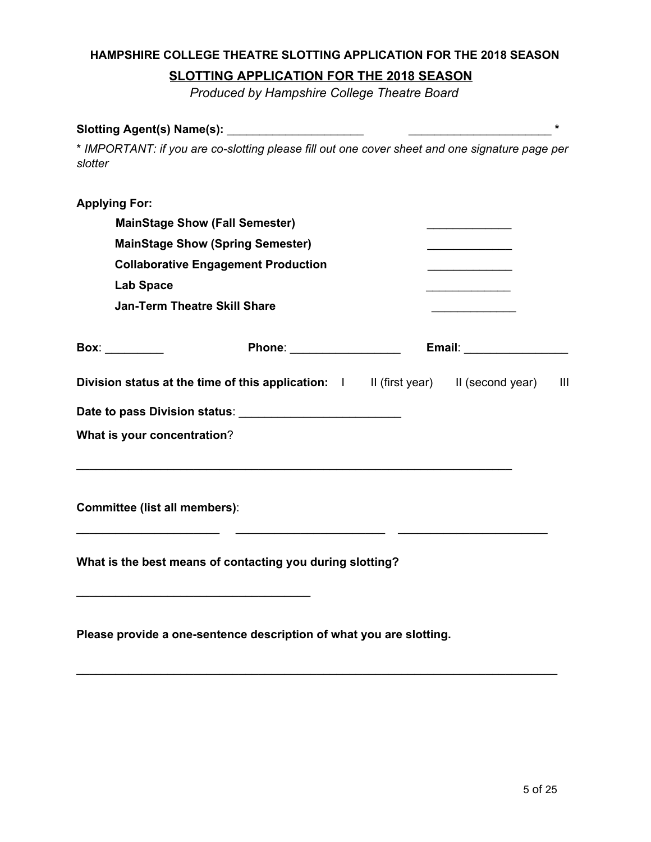# **SLOTTING APPLICATION FOR THE 2018 SEASON**

*Produced by Hampshire College Theatre Board*

| Slotting Agent(s) Name(s):           |                                                                                                |                                                                                                                        | $\star$ |
|--------------------------------------|------------------------------------------------------------------------------------------------|------------------------------------------------------------------------------------------------------------------------|---------|
| slotter                              | * IMPORTANT: if you are co-slotting please fill out one cover sheet and one signature page per |                                                                                                                        |         |
| <b>Applying For:</b>                 |                                                                                                |                                                                                                                        |         |
|                                      | <b>MainStage Show (Fall Semester)</b>                                                          | <u> 1980 - Johann Barn, mars ann an t-</u>                                                                             |         |
|                                      | <b>MainStage Show (Spring Semester)</b>                                                        | <u> 1989 - Jan James James Jan James James James James James James James James James James James James James James</u> |         |
|                                      | <b>Collaborative Engagement Production</b>                                                     | <u> 1990 - Johann Barbara, martxa</u>                                                                                  |         |
| <b>Lab Space</b>                     |                                                                                                |                                                                                                                        |         |
|                                      | <b>Jan-Term Theatre Skill Share</b>                                                            | <u> 1990 - Johann Barbara, martx</u>                                                                                   |         |
| Box: __________                      | Phone: __________________                                                                      | Email: New York Press, New York 1997                                                                                   |         |
|                                      | Division status at the time of this application: I II (first year) II (second year)            |                                                                                                                        | -III    |
|                                      |                                                                                                |                                                                                                                        |         |
| What is your concentration?          |                                                                                                |                                                                                                                        |         |
| <b>Committee (list all members):</b> |                                                                                                |                                                                                                                        |         |
|                                      | What is the best means of contacting you during slotting?                                      |                                                                                                                        |         |
|                                      | Please provide a one-sentence description of what you are slotting.                            |                                                                                                                        |         |

\_\_\_\_\_\_\_\_\_\_\_\_\_\_\_\_\_\_\_\_\_\_\_\_\_\_\_\_\_\_\_\_\_\_\_\_\_\_\_\_\_\_\_\_\_\_\_\_\_\_\_\_\_\_\_\_\_\_\_\_\_\_\_\_\_\_\_\_\_\_\_\_\_\_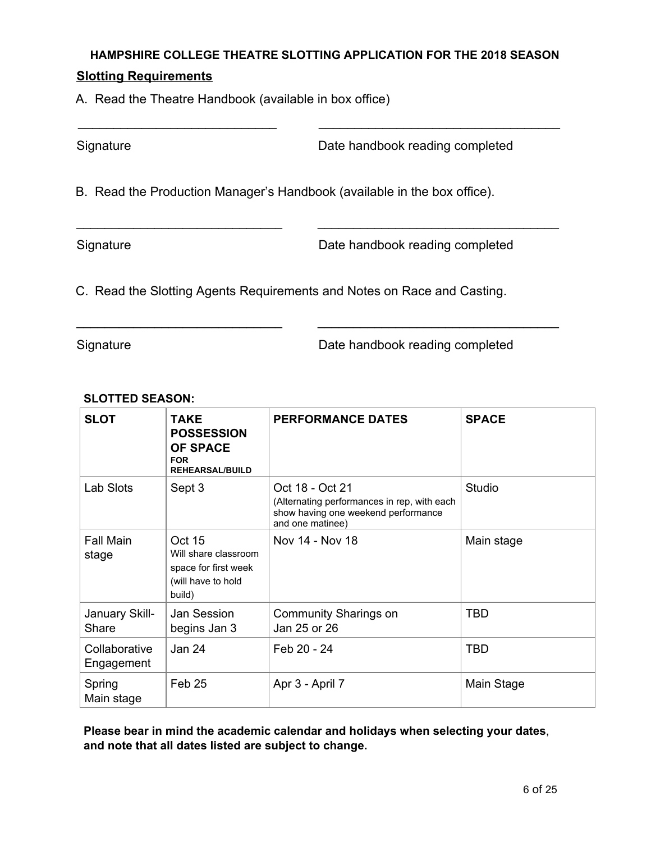\_\_\_\_\_\_\_\_\_\_\_\_\_\_\_\_\_\_\_\_\_\_\_\_\_\_\_\_ \_\_\_\_\_\_\_\_\_\_\_\_\_\_\_\_\_\_\_\_\_\_\_\_\_\_\_\_\_\_\_\_\_\_

\_\_\_\_\_\_\_\_\_\_\_\_\_\_\_\_\_\_\_\_\_\_\_\_\_\_\_\_\_ \_\_\_\_\_\_\_\_\_\_\_\_\_\_\_\_\_\_\_\_\_\_\_\_\_\_\_\_\_\_\_\_\_\_

\_\_\_\_\_\_\_\_\_\_\_\_\_\_\_\_\_\_\_\_\_\_\_\_\_\_\_\_\_ \_\_\_\_\_\_\_\_\_\_\_\_\_\_\_\_\_\_\_\_\_\_\_\_\_\_\_\_\_\_\_\_\_\_

# **Slotting Requirements**

A. Read the Theatre Handbook (available in box office)

Signature **Date handbook reading completed** 

B. Read the Production Manager's Handbook (available in the box office).

Signature **Date handbook reading completed** 

C. Read the Slotting Agents Requirements and Notes on Race and Casting.

Signature **Date handbook reading completed** 

# **SLOTTED SEASON:**

| <b>SLOT</b>                 | <b>TAKE</b><br><b>POSSESSION</b><br><b>OF SPACE</b><br><b>FOR</b><br><b>REHEARSAL/BUILD</b>   | <b>PERFORMANCE DATES</b>                                                                                                  | <b>SPACE</b> |
|-----------------------------|-----------------------------------------------------------------------------------------------|---------------------------------------------------------------------------------------------------------------------------|--------------|
| Lab Slots                   | Sept 3                                                                                        | Oct 18 - Oct 21<br>(Alternating performances in rep, with each<br>show having one weekend performance<br>and one matinee) | Studio       |
| <b>Fall Main</b><br>stage   | <b>Oct 15</b><br>Will share classroom<br>space for first week<br>(will have to hold<br>build) | Nov 14 - Nov 18                                                                                                           | Main stage   |
| January Skill-<br>Share     | Jan Session<br>begins Jan 3                                                                   | Community Sharings on<br>Jan 25 or 26                                                                                     | <b>TBD</b>   |
| Collaborative<br>Engagement | Jan 24                                                                                        | Feb 20 - 24                                                                                                               | <b>TBD</b>   |
| Spring<br>Main stage        | Feb 25                                                                                        | Apr 3 - April 7                                                                                                           | Main Stage   |

**Please bear in mind the academic calendar and holidays when selecting your dates**, **and note that all dates listed are subject to change.**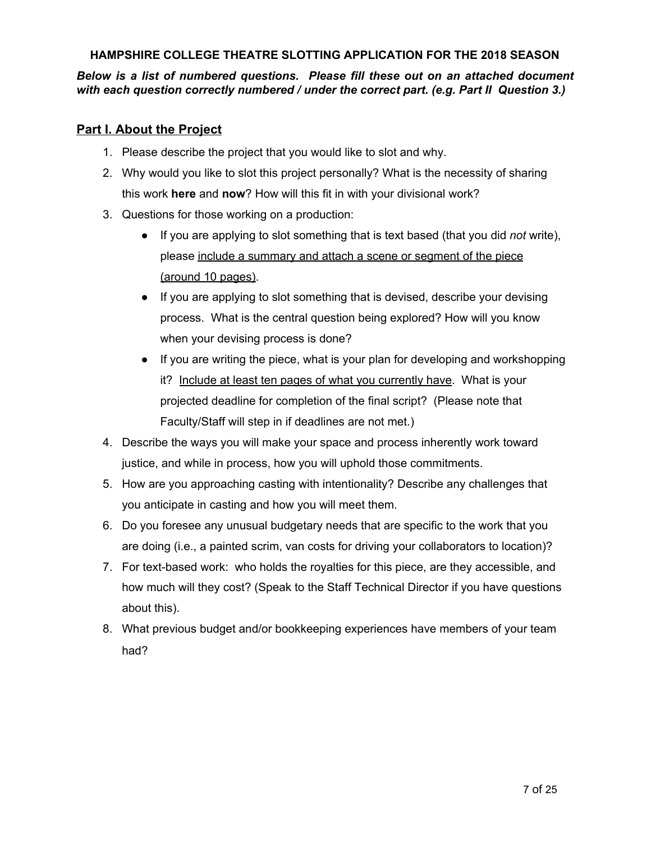*Below is a list of numbered questions. Please fill these out on an attached document with each question correctly numbered / under the correct part. (e.g. Part II Question 3.)*

# **Part I. About the Project**

- 1. Please describe the project that you would like to slot and why.
- 2. Why would you like to slot this project personally? What is the necessity of sharing this work **here** and **now**? How will this fit in with your divisional work?
- 3. Questions for those working on a production:
	- If you are applying to slot something that is text based (that you did *not* write), please include a summary and attach a scene or segment of the piece (around 10 pages).
	- If you are applying to slot something that is devised, describe your devising process. What is the central question being explored? How will you know when your devising process is done?
	- If you are writing the piece, what is your plan for developing and workshopping it? Include at least ten pages of what you currently have. What is your projected deadline for completion of the final script? (Please note that Faculty/Staff will step in if deadlines are not met.)
- 4. Describe the ways you will make your space and process inherently work toward justice, and while in process, how you will uphold those commitments.
- 5. How are you approaching casting with intentionality? Describe any challenges that you anticipate in casting and how you will meet them.
- 6. Do you foresee any unusual budgetary needs that are specific to the work that you are doing (i.e., a painted scrim, van costs for driving your collaborators to location)?
- 7. For text-based work: who holds the royalties for this piece, are they accessible, and how much will they cost? (Speak to the Staff Technical Director if you have questions about this).
- 8. What previous budget and/or bookkeeping experiences have members of your team had?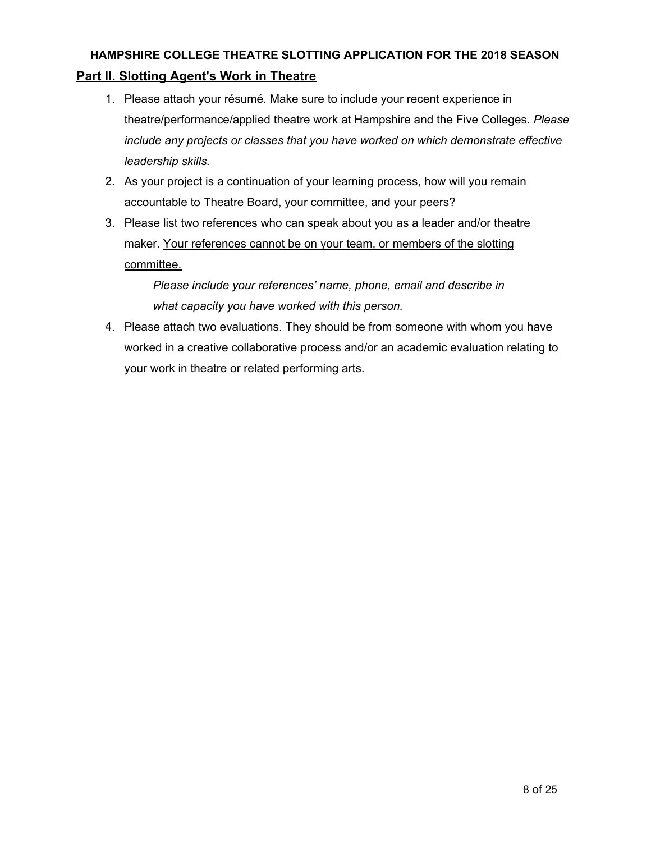# **HAMPSHIRE COLLEGE THEATRE SLOTTING APPLICATION FOR THE 2018 SEASON Part II. Slotting Agent's Work in Theatre**

- 1. Please attach your résumé. Make sure to include your recent experience in theatre/performance/applied theatre work at Hampshire and the Five Colleges. *Please include any projects or classes that you have worked on which demonstrate effective leadership skills.*
- 2. As your project is a continuation of your learning process, how will you remain accountable to Theatre Board, your committee, and your peers?
- 3. Please list two references who can speak about you as a leader and/or theatre maker. Your references cannot be on your team, or members of the slotting committee.

*Please include your references' name, phone, email and describe in what capacity you have worked with this person.*

4. Please attach two evaluations. They should be from someone with whom you have worked in a creative collaborative process and/or an academic evaluation relating to your work in theatre or related performing arts.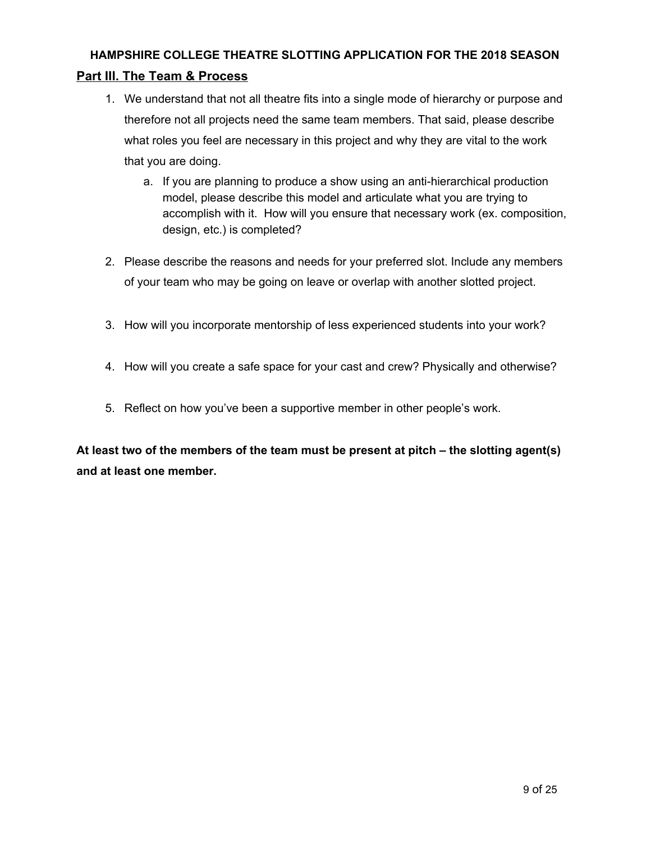# **HAMPSHIRE COLLEGE THEATRE SLOTTING APPLICATION FOR THE 2018 SEASON Part III. The Team & Process**

- 1. We understand that not all theatre fits into a single mode of hierarchy or purpose and therefore not all projects need the same team members. That said, please describe what roles you feel are necessary in this project and why they are vital to the work that you are doing.
	- a. If you are planning to produce a show using an anti-hierarchical production model, please describe this model and articulate what you are trying to accomplish with it. How will you ensure that necessary work (ex. composition, design, etc.) is completed?
- 2. Please describe the reasons and needs for your preferred slot. Include any members of your team who may be going on leave or overlap with another slotted project.
- 3. How will you incorporate mentorship of less experienced students into your work?
- 4. How will you create a safe space for your cast and crew? Physically and otherwise?
- 5. Reflect on how you've been a supportive member in other people's work.

**At least two of the members of the team must be present at pitch – the slotting agent(s) and at least one member.**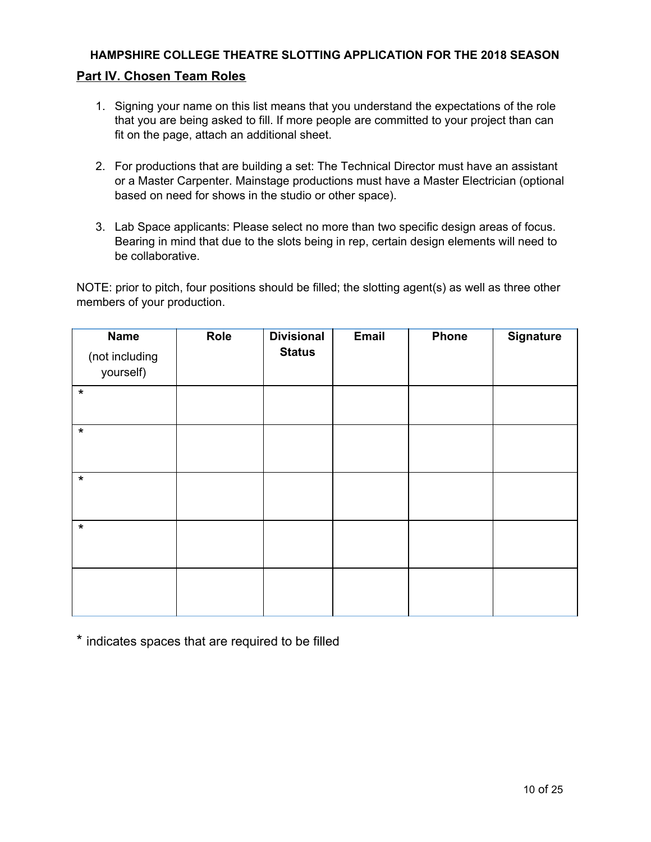## **Part IV. Chosen Team Roles**

- 1. Signing your name on this list means that you understand the expectations of the role that you are being asked to fill. If more people are committed to your project than can fit on the page, attach an additional sheet.
- 2. For productions that are building a set: The Technical Director must have an assistant or a Master Carpenter. Mainstage productions must have a Master Electrician (optional based on need for shows in the studio or other space).
- 3. Lab Space applicants: Please select no more than two specific design areas of focus. Bearing in mind that due to the slots being in rep, certain design elements will need to be collaborative.

NOTE: prior to pitch, four positions should be filled; the slotting agent(s) as well as three other members of your production.

| <b>Name</b><br>(not including<br>yourself) | Role | <b>Divisional</b><br><b>Status</b> | Email | Phone | <b>Signature</b> |
|--------------------------------------------|------|------------------------------------|-------|-------|------------------|
| $\star$                                    |      |                                    |       |       |                  |
| $\star$                                    |      |                                    |       |       |                  |
| $\star$                                    |      |                                    |       |       |                  |
| $\star$                                    |      |                                    |       |       |                  |
|                                            |      |                                    |       |       |                  |

\* indicates spaces that are required to be filled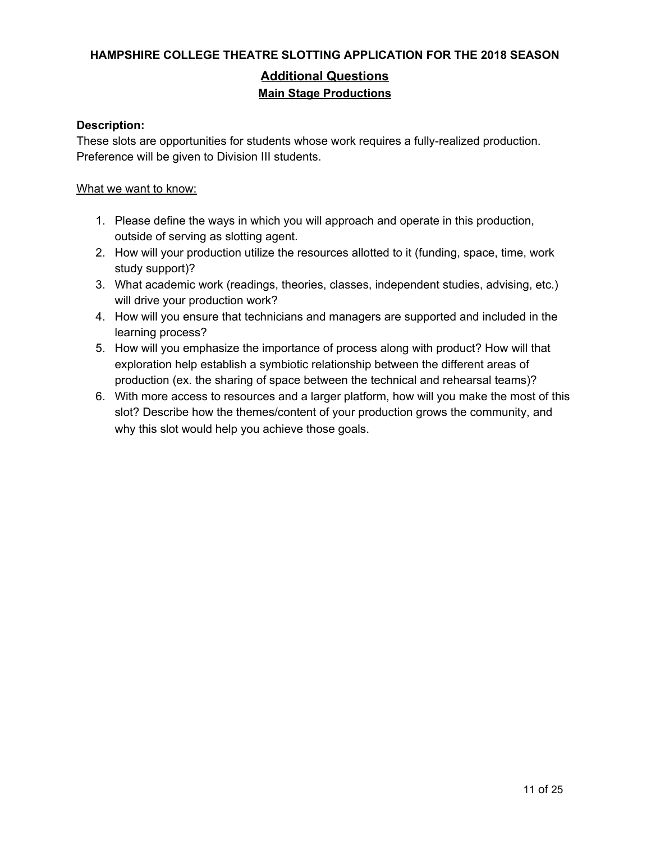# **Additional Questions Main Stage Productions**

#### **Description:**

These slots are opportunities for students whose work requires a fully-realized production. Preference will be given to Division III students.

#### What we want to know:

- 1. Please define the ways in which you will approach and operate in this production, outside of serving as slotting agent.
- 2. How will your production utilize the resources allotted to it (funding, space, time, work study support)?
- 3. What academic work (readings, theories, classes, independent studies, advising, etc.) will drive your production work?
- 4. How will you ensure that technicians and managers are supported and included in the learning process?
- 5. How will you emphasize the importance of process along with product? How will that exploration help establish a symbiotic relationship between the different areas of production (ex. the sharing of space between the technical and rehearsal teams)?
- 6. With more access to resources and a larger platform, how will you make the most of this slot? Describe how the themes/content of your production grows the community, and why this slot would help you achieve those goals.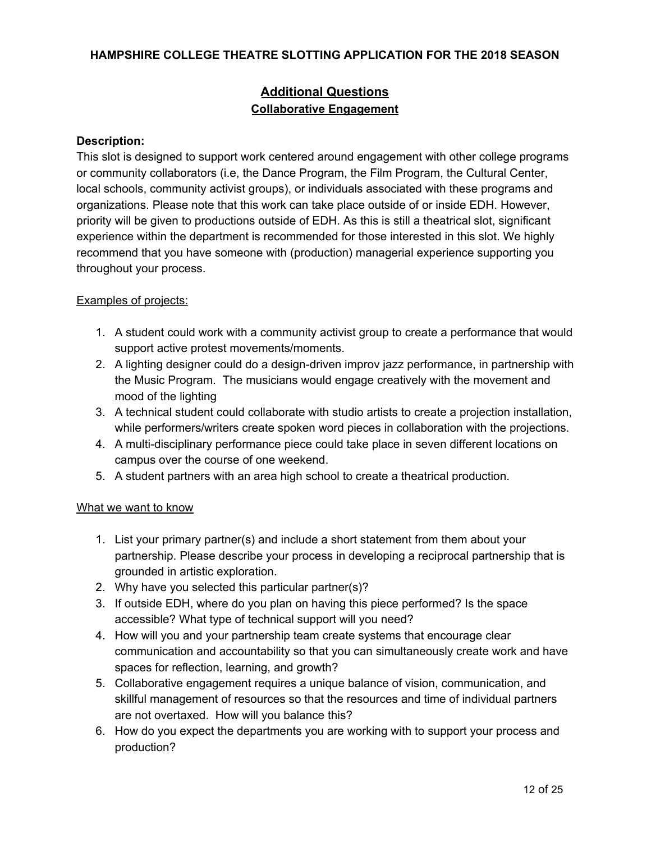# **Additional Questions Collaborative Engagement**

#### **Description:**

This slot is designed to support work centered around engagement with other college programs or community collaborators (i.e, the Dance Program, the Film Program, the Cultural Center, local schools, community activist groups), or individuals associated with these programs and organizations. Please note that this work can take place outside of or inside EDH. However, priority will be given to productions outside of EDH. As this is still a theatrical slot, significant experience within the department is recommended for those interested in this slot. We highly recommend that you have someone with (production) managerial experience supporting you throughout your process.

## Examples of projects:

- 1. A student could work with a community activist group to create a performance that would support active protest movements/moments.
- 2. A lighting designer could do a design-driven improv jazz performance, in partnership with the Music Program. The musicians would engage creatively with the movement and mood of the lighting
- 3. A technical student could collaborate with studio artists to create a projection installation, while performers/writers create spoken word pieces in collaboration with the projections.
- 4. A multi-disciplinary performance piece could take place in seven different locations on campus over the course of one weekend.
- 5. A student partners with an area high school to create a theatrical production.

## What we want to know

- 1. List your primary partner(s) and include a short statement from them about your partnership. Please describe your process in developing a reciprocal partnership that is grounded in artistic exploration.
- 2. Why have you selected this particular partner(s)?
- 3. If outside EDH, where do you plan on having this piece performed? Is the space accessible? What type of technical support will you need?
- 4. How will you and your partnership team create systems that encourage clear communication and accountability so that you can simultaneously create work and have spaces for reflection, learning, and growth?
- 5. Collaborative engagement requires a unique balance of vision, communication, and skillful management of resources so that the resources and time of individual partners are not overtaxed. How will you balance this?
- 6. How do you expect the departments you are working with to support your process and production?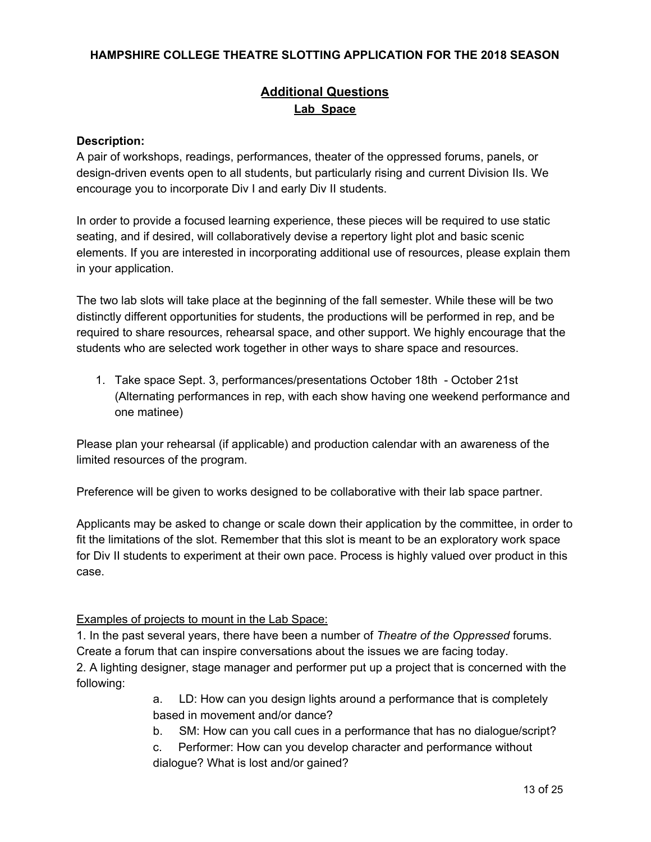# **Additional Questions Lab Space**

#### **Description:**

A pair of workshops, readings, performances, theater of the oppressed forums, panels, or design-driven events open to all students, but particularly rising and current Division IIs. We encourage you to incorporate Div I and early Div II students.

In order to provide a focused learning experience, these pieces will be required to use static seating, and if desired, will collaboratively devise a repertory light plot and basic scenic elements. If you are interested in incorporating additional use of resources, please explain them in your application.

The two lab slots will take place at the beginning of the fall semester. While these will be two distinctly different opportunities for students, the productions will be performed in rep, and be required to share resources, rehearsal space, and other support. We highly encourage that the students who are selected work together in other ways to share space and resources.

1. Take space Sept. 3, performances/presentations October 18th - October 21st (Alternating performances in rep, with each show having one weekend performance and one matinee)

Please plan your rehearsal (if applicable) and production calendar with an awareness of the limited resources of the program.

Preference will be given to works designed to be collaborative with their lab space partner.

Applicants may be asked to change or scale down their application by the committee, in order to fit the limitations of the slot. Remember that this slot is meant to be an exploratory work space for Div II students to experiment at their own pace. Process is highly valued over product in this case.

## Examples of projects to mount in the Lab Space:

1. In the past several years, there have been a number of *Theatre of the Oppressed* forums. Create a forum that can inspire conversations about the issues we are facing today. 2. A lighting designer, stage manager and performer put up a project that is concerned with the following:

> a. LD: How can you design lights around a performance that is completely based in movement and/or dance?

b. SM: How can you call cues in a performance that has no dialogue/script?

c. Performer: How can you develop character and performance without dialogue? What is lost and/or gained?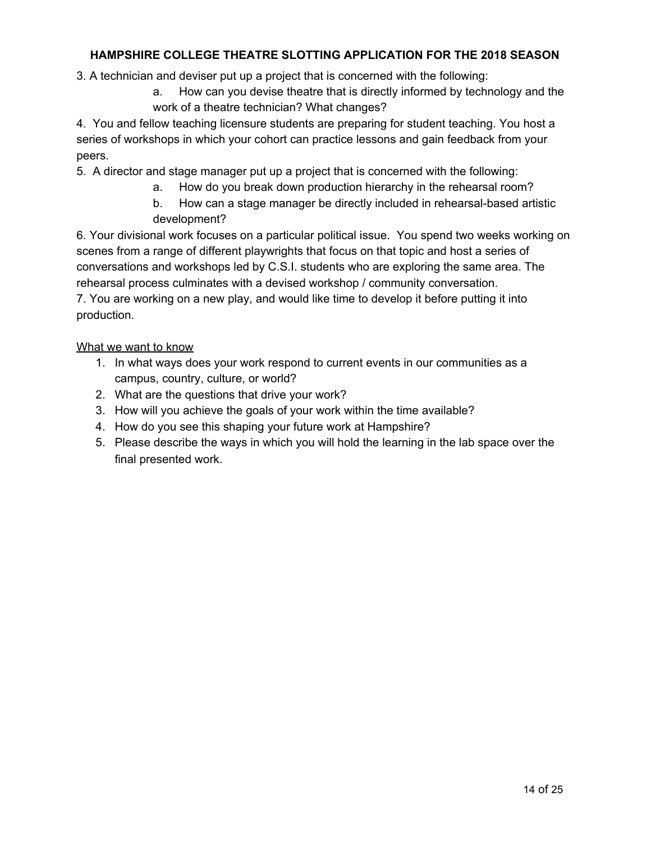3. A technician and deviser put up a project that is concerned with the following:

a. How can you devise theatre that is directly informed by technology and the work of a theatre technician? What changes?

4. You and fellow teaching licensure students are preparing for student teaching. You host a series of workshops in which your cohort can practice lessons and gain feedback from your peers.

5. A director and stage manager put up a project that is concerned with the following:

- a. How do you break down production hierarchy in the rehearsal room?
- b. How can a stage manager be directly included in rehearsal-based artistic development?

6. Your divisional work focuses on a particular political issue. You spend two weeks working on scenes from a range of different playwrights that focus on that topic and host a series of conversations and workshops led by C.S.I. students who are exploring the same area. The rehearsal process culminates with a devised workshop / community conversation.

7. You are working on a new play, and would like time to develop it before putting it into production.

What we want to know

- 1. In what ways does your work respond to current events in our communities as a campus, country, culture, or world?
- 2. What are the questions that drive your work?
- 3. How will you achieve the goals of your work within the time available?
- 4. How do you see this shaping your future work at Hampshire?
- 5. Please describe the ways in which you will hold the learning in the lab space over the final presented work.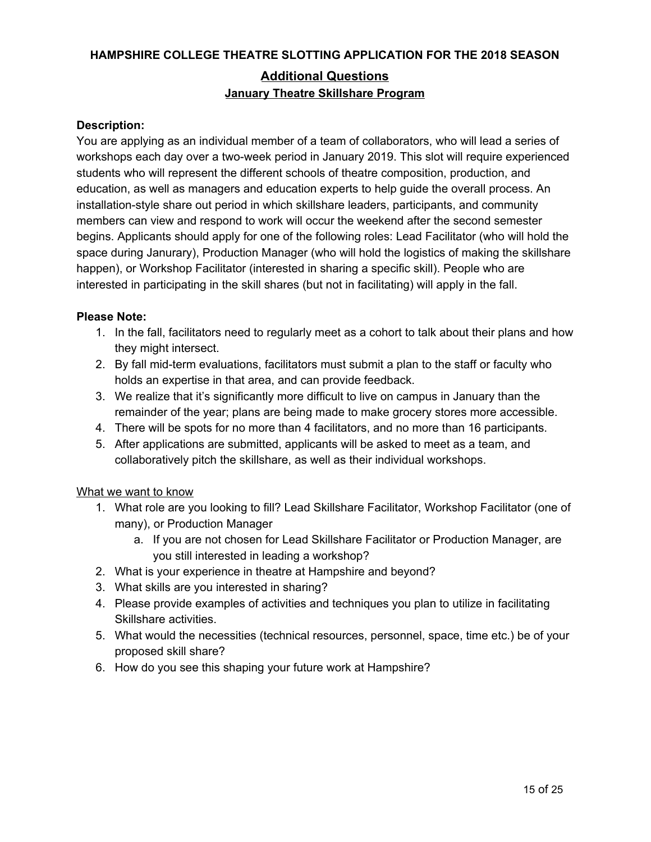# **HAMPSHIRE COLLEGE THEATRE SLOTTING APPLICATION FOR THE 2018 SEASON Additional Questions January Theatre Skillshare Program**

## **Description:**

You are applying as an individual member of a team of collaborators, who will lead a series of workshops each day over a two-week period in January 2019. This slot will require experienced students who will represent the different schools of theatre composition, production, and education, as well as managers and education experts to help guide the overall process. An installation-style share out period in which skillshare leaders, participants, and community members can view and respond to work will occur the weekend after the second semester begins. Applicants should apply for one of the following roles: Lead Facilitator (who will hold the space during Janurary), Production Manager (who will hold the logistics of making the skillshare happen), or Workshop Facilitator (interested in sharing a specific skill). People who are interested in participating in the skill shares (but not in facilitating) will apply in the fall.

## **Please Note:**

- 1. In the fall, facilitators need to regularly meet as a cohort to talk about their plans and how they might intersect.
- 2. By fall mid-term evaluations, facilitators must submit a plan to the staff or faculty who holds an expertise in that area, and can provide feedback.
- 3. We realize that it's significantly more difficult to live on campus in January than the remainder of the year; plans are being made to make grocery stores more accessible.
- 4. There will be spots for no more than 4 facilitators, and no more than 16 participants.
- 5. After applications are submitted, applicants will be asked to meet as a team, and collaboratively pitch the skillshare, as well as their individual workshops.

## What we want to know

- 1. What role are you looking to fill? Lead Skillshare Facilitator, Workshop Facilitator (one of many), or Production Manager
	- a. If you are not chosen for Lead Skillshare Facilitator or Production Manager, are you still interested in leading a workshop?
- 2. What is your experience in theatre at Hampshire and beyond?
- 3. What skills are you interested in sharing?
- 4. Please provide examples of activities and techniques you plan to utilize in facilitating Skillshare activities.
- 5. What would the necessities (technical resources, personnel, space, time etc.) be of your proposed skill share?
- 6. How do you see this shaping your future work at Hampshire?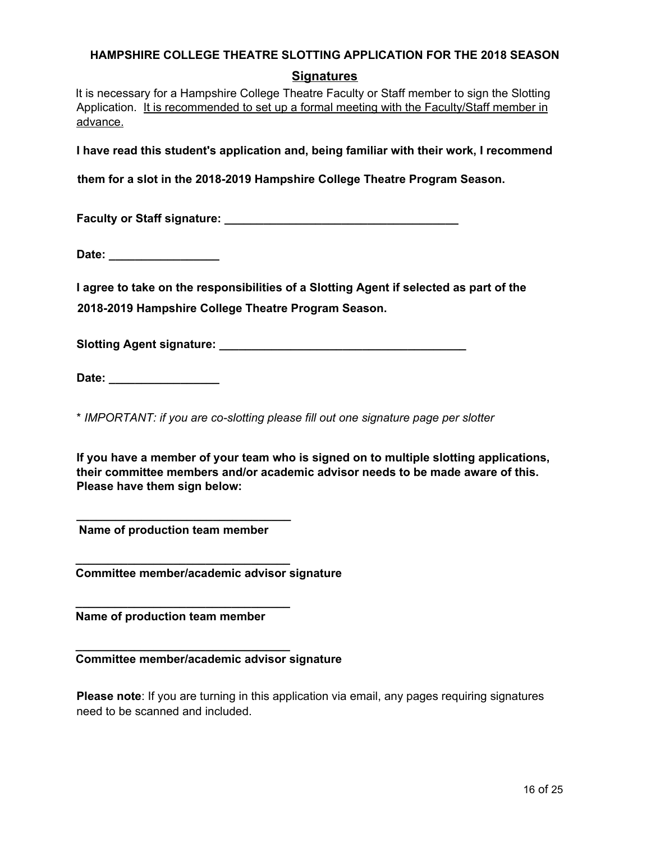# **Signatures**

It is necessary for a Hampshire College Theatre Faculty or Staff member to sign the Slotting Application. It is recommended to set up a formal meeting with the Faculty/Staff member in advance.

**I have read this student's application and, being familiar with their work, I recommend**

**them for a slot in the 2018-2019 Hampshire College Theatre Program Season.**

**Faculty or Staff signature: \_\_\_\_\_\_\_\_\_\_\_\_\_\_\_\_\_\_\_\_\_\_\_\_\_\_\_\_\_\_\_\_\_\_\_\_**

**Date: \_\_\_\_\_\_\_\_\_\_\_\_\_\_\_\_\_**

**I agree to take on the responsibilities of a Slotting Agent if selected as part of the 2018-2019 Hampshire College Theatre Program Season.**

**Slotting Agent signature: \_\_\_\_\_\_\_\_\_\_\_\_\_\_\_\_\_\_\_\_\_\_\_\_\_\_\_\_\_\_\_\_\_\_\_\_\_\_**

**Date: \_\_\_\_\_\_\_\_\_\_\_\_\_\_\_\_\_**

\* *IMPORTANT: if you are co-slotting please fill out one signature page per slotter*

**If you have a member of your team who is signed on to multiple slotting applications, their committee members and/or academic advisor needs to be made aware of this. Please have them sign below:**

**Name of production team member**

**\_\_\_\_\_\_\_\_\_\_\_\_\_\_\_\_\_\_\_\_\_\_\_\_\_\_\_\_\_\_\_\_\_**

**\_\_\_\_\_\_\_\_\_\_\_\_\_\_\_\_\_\_\_\_\_\_\_\_\_\_\_\_\_\_\_\_\_**

**\_\_\_\_\_\_\_\_\_\_\_\_\_\_\_\_\_\_\_\_\_\_\_\_\_\_\_\_\_\_\_\_\_**

**\_\_\_\_\_\_\_\_\_\_\_\_\_\_\_\_\_\_\_\_\_\_\_\_\_\_\_\_\_\_\_\_\_**

**Committee member/academic advisor signature**

**Name of production team member**

**Committee member/academic advisor signature**

**Please note**: If you are turning in this application via email, any pages requiring signatures need to be scanned and included.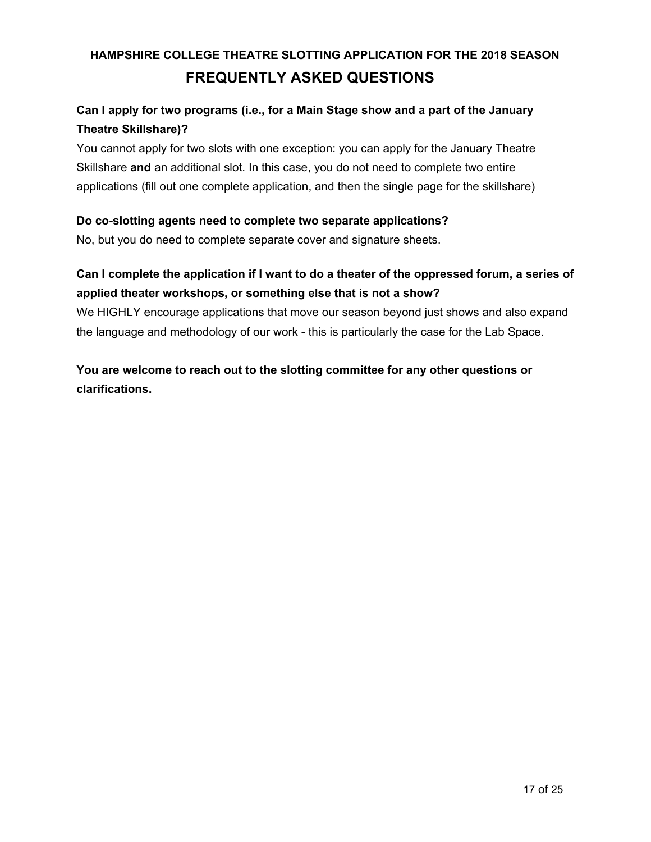# **HAMPSHIRE COLLEGE THEATRE SLOTTING APPLICATION FOR THE 2018 SEASON FREQUENTLY ASKED QUESTIONS**

# **Can I apply for two programs (i.e., for a Main Stage show and a part of the January Theatre Skillshare)?**

You cannot apply for two slots with one exception: you can apply for the January Theatre Skillshare **and** an additional slot. In this case, you do not need to complete two entire applications (fill out one complete application, and then the single page for the skillshare)

# **Do co-slotting agents need to complete two separate applications?**

No, but you do need to complete separate cover and signature sheets.

# Can I complete the application if I want to do a theater of the oppressed forum, a series of **applied theater workshops, or something else that is not a show?**

We HIGHLY encourage applications that move our season beyond just shows and also expand the language and methodology of our work - this is particularly the case for the Lab Space.

**You are welcome to reach out to the slotting committee for any other questions or clarifications.**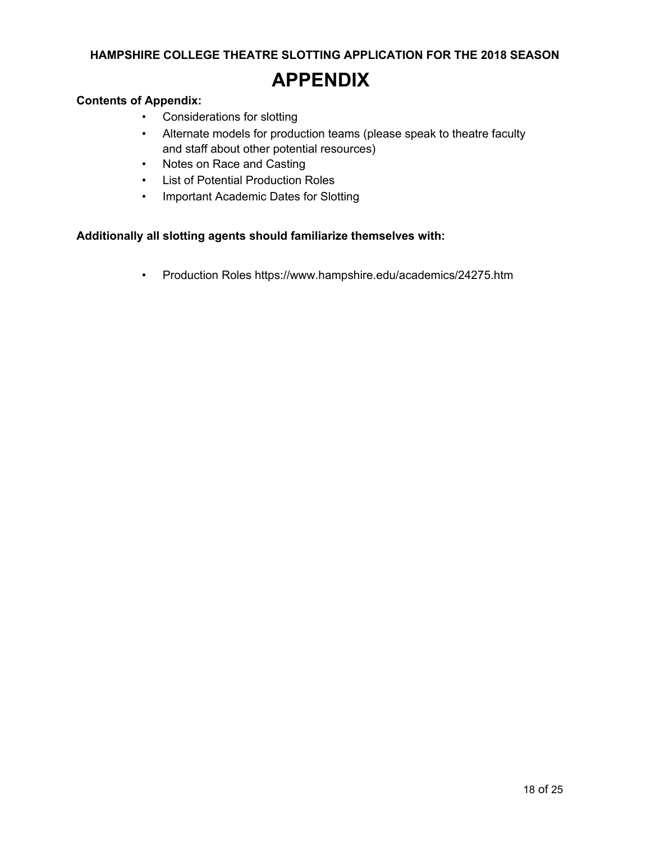# **APPENDIX**

### **Contents of Appendix:**

- Considerations for slotting
- Alternate models for production teams (please speak to theatre faculty and staff about other potential resources)
- Notes on Race and Casting
- List of Potential Production Roles
- Important Academic Dates for Slotting

#### **Additionally all slotting agents should familiarize themselves with:**

• Production Roles https://www.hampshire.edu/academics/24275.htm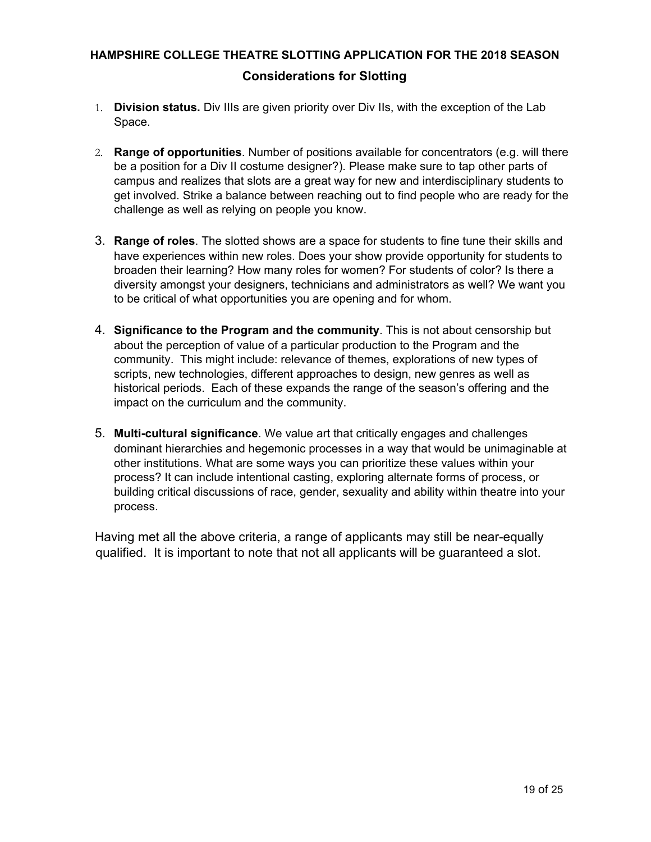# **HAMPSHIRE COLLEGE THEATRE SLOTTING APPLICATION FOR THE 2018 SEASON Considerations for Slotting**

- 1. **Division status.** Div IIIs are given priority over Div IIs, with the exception of the Lab Space.
- 2. **Range of opportunities**. Number of positions available for concentrators (e.g. will there be a position for a Div II costume designer?). Please make sure to tap other parts of campus and realizes that slots are a great way for new and interdisciplinary students to get involved. Strike a balance between reaching out to find people who are ready for the challenge as well as relying on people you know.
- 3. **Range of roles**. The slotted shows are a space for students to fine tune their skills and have experiences within new roles. Does your show provide opportunity for students to broaden their learning? How many roles for women? For students of color? Is there a diversity amongst your designers, technicians and administrators as well? We want you to be critical of what opportunities you are opening and for whom.
- 4. **Significance to the Program and the community**. This is not about censorship but about the perception of value of a particular production to the Program and the community. This might include: relevance of themes, explorations of new types of scripts, new technologies, different approaches to design, new genres as well as historical periods. Each of these expands the range of the season's offering and the impact on the curriculum and the community.
- 5. **Multi-cultural significance**. We value art that critically engages and challenges dominant hierarchies and hegemonic processes in a way that would be unimaginable at other institutions. What are some ways you can prioritize these values within your process? It can include intentional casting, exploring alternate forms of process, or building critical discussions of race, gender, sexuality and ability within theatre into your process.

Having met all the above criteria, a range of applicants may still be near-equally qualified. It is important to note that not all applicants will be guaranteed a slot.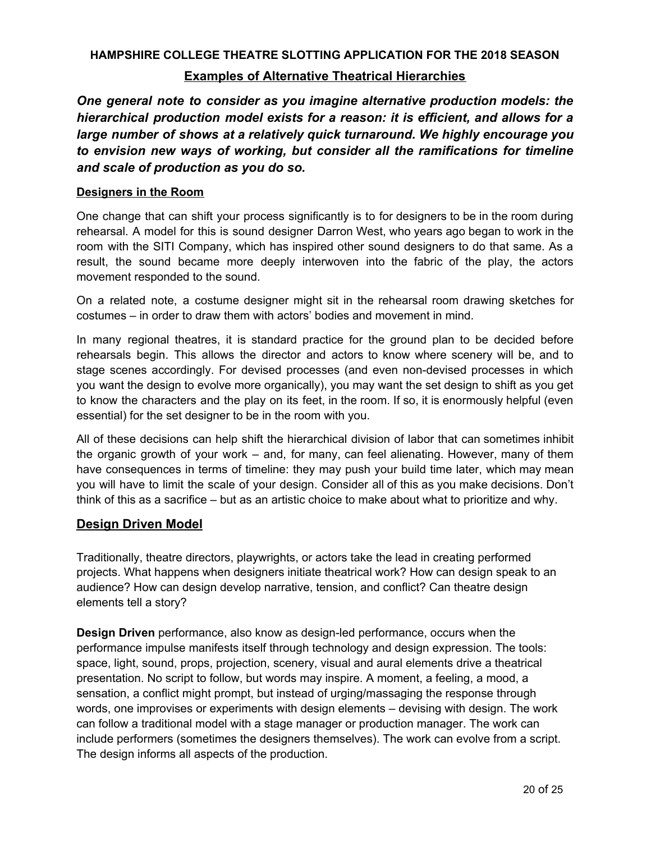# **HAMPSHIRE COLLEGE THEATRE SLOTTING APPLICATION FOR THE 2018 SEASON Examples of Alternative Theatrical Hierarchies**

*One general note to consider as you imagine alternative production models: the hierarchical production model exists for a reason: it is efficient, and allows for a large number of shows at a relatively quick turnaround. We highly encourage you to envision new ways of working, but consider all the ramifications for timeline and scale of production as you do so.*

## **Designers in the Room**

One change that can shift your process significantly is to for designers to be in the room during rehearsal. A model for this is sound designer Darron West, who years ago began to work in the room with the SITI Company, which has inspired other sound designers to do that same. As a result, the sound became more deeply interwoven into the fabric of the play, the actors movement responded to the sound.

On a related note, a costume designer might sit in the rehearsal room drawing sketches for costumes – in order to draw them with actors' bodies and movement in mind.

In many regional theatres, it is standard practice for the ground plan to be decided before rehearsals begin. This allows the director and actors to know where scenery will be, and to stage scenes accordingly. For devised processes (and even non-devised processes in which you want the design to evolve more organically), you may want the set design to shift as you get to know the characters and the play on its feet, in the room. If so, it is enormously helpful (even essential) for the set designer to be in the room with you.

All of these decisions can help shift the hierarchical division of labor that can sometimes inhibit the organic growth of your work – and, for many, can feel alienating. However, many of them have consequences in terms of timeline: they may push your build time later, which may mean you will have to limit the scale of your design. Consider all of this as you make decisions. Don't think of this as a sacrifice – but as an artistic choice to make about what to prioritize and why.

# **Design Driven Model**

Traditionally, theatre directors, playwrights, or actors take the lead in creating performed projects. What happens when designers initiate theatrical work? How can design speak to an audience? How can design develop narrative, tension, and conflict? Can theatre design elements tell a story?

**Design Driven** performance, also know as design-led performance, occurs when the performance impulse manifests itself through technology and design expression. The tools: space, light, sound, props, projection, scenery, visual and aural elements drive a theatrical presentation. No script to follow, but words may inspire. A moment, a feeling, a mood, a sensation, a conflict might prompt, but instead of urging/massaging the response through words, one improvises or experiments with design elements – devising with design. The work can follow a traditional model with a stage manager or production manager. The work can include performers (sometimes the designers themselves). The work can evolve from a script. The design informs all aspects of the production.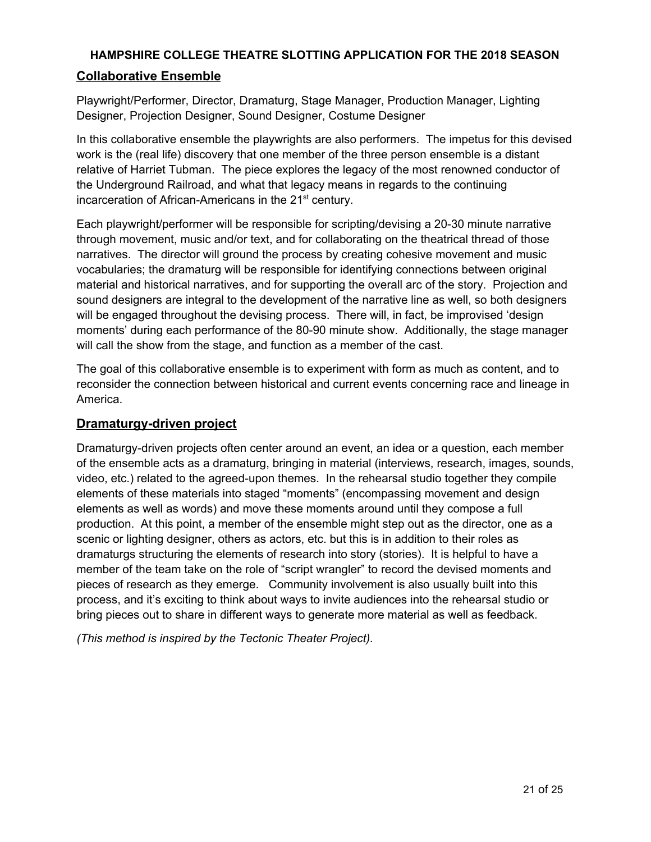# **Collaborative Ensemble**

Playwright/Performer, Director, Dramaturg, Stage Manager, Production Manager, Lighting Designer, Projection Designer, Sound Designer, Costume Designer

In this collaborative ensemble the playwrights are also performers. The impetus for this devised work is the (real life) discovery that one member of the three person ensemble is a distant relative of Harriet Tubman. The piece explores the legacy of the most renowned conductor of the Underground Railroad, and what that legacy means in regards to the continuing incarceration of African-Americans in the 21<sup>st</sup> century.

Each playwright/performer will be responsible for scripting/devising a 20-30 minute narrative through movement, music and/or text, and for collaborating on the theatrical thread of those narratives. The director will ground the process by creating cohesive movement and music vocabularies; the dramaturg will be responsible for identifying connections between original material and historical narratives, and for supporting the overall arc of the story. Projection and sound designers are integral to the development of the narrative line as well, so both designers will be engaged throughout the devising process. There will, in fact, be improvised 'design moments' during each performance of the 80-90 minute show. Additionally, the stage manager will call the show from the stage, and function as a member of the cast.

The goal of this collaborative ensemble is to experiment with form as much as content, and to reconsider the connection between historical and current events concerning race and lineage in America.

# **Dramaturgy-driven project**

Dramaturgy-driven projects often center around an event, an idea or a question, each member of the ensemble acts as a dramaturg, bringing in material (interviews, research, images, sounds, video, etc.) related to the agreed-upon themes. In the rehearsal studio together they compile elements of these materials into staged "moments" (encompassing movement and design elements as well as words) and move these moments around until they compose a full production. At this point, a member of the ensemble might step out as the director, one as a scenic or lighting designer, others as actors, etc. but this is in addition to their roles as dramaturgs structuring the elements of research into story (stories). It is helpful to have a member of the team take on the role of "script wrangler" to record the devised moments and pieces of research as they emerge. Community involvement is also usually built into this process, and it's exciting to think about ways to invite audiences into the rehearsal studio or bring pieces out to share in different ways to generate more material as well as feedback.

*(This method is inspired by the Tectonic Theater Project).*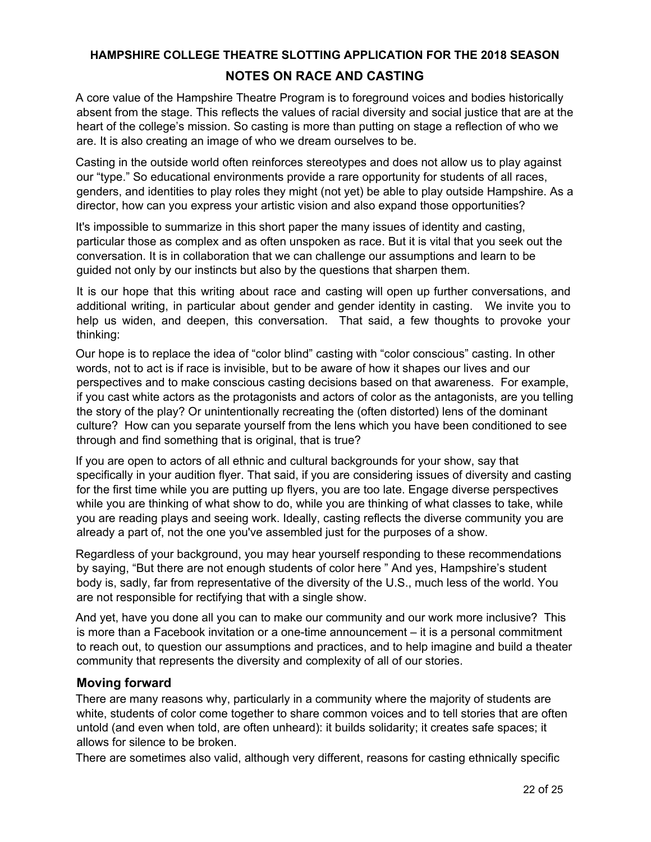# **HAMPSHIRE COLLEGE THEATRE SLOTTING APPLICATION FOR THE 2018 SEASON NOTES ON RACE AND CASTING**

A core value of the Hampshire Theatre Program is to foreground voices and bodies historically absent from the stage. This reflects the values of racial diversity and social justice that are at the heart of the college's mission. So casting is more than putting on stage a reflection of who we are. It is also creating an image of who we dream ourselves to be.

Casting in the outside world often reinforces stereotypes and does not allow us to play against our "type." So educational environments provide a rare opportunity for students of all races, genders, and identities to play roles they might (not yet) be able to play outside Hampshire. As a director, how can you express your artistic vision and also expand those opportunities?

It's impossible to summarize in this short paper the many issues of identity and casting, particular those as complex and as often unspoken as race. But it is vital that you seek out the conversation. It is in collaboration that we can challenge our assumptions and learn to be guided not only by our instincts but also by the questions that sharpen them.

It is our hope that this writing about race and casting will open up further conversations, and additional writing, in particular about gender and gender identity in casting. We invite you to help us widen, and deepen, this conversation. That said, a few thoughts to provoke your thinking:

Our hope is to replace the idea of "color blind" casting with "color conscious" casting. In other words, not to act is if race is invisible, but to be aware of how it shapes our lives and our perspectives and to make conscious casting decisions based on that awareness. For example, if you cast white actors as the protagonists and actors of color as the antagonists, are you telling the story of the play? Or unintentionally recreating the (often distorted) lens of the dominant culture? How can you separate yourself from the lens which you have been conditioned to see through and find something that is original, that is true?

If you are open to actors of all ethnic and cultural backgrounds for your show, say that specifically in your audition flyer. That said, if you are considering issues of diversity and casting for the first time while you are putting up flyers, you are too late. Engage diverse perspectives while you are thinking of what show to do, while you are thinking of what classes to take, while you are reading plays and seeing work. Ideally, casting reflects the diverse community you are already a part of, not the one you've assembled just for the purposes of a show.

Regardless of your background, you may hear yourself responding to these recommendations by saying, "But there are not enough students of color here " And yes, Hampshire's student body is, sadly, far from representative of the diversity of the U.S., much less of the world. You are not responsible for rectifying that with a single show.

And yet, have you done all you can to make our community and our work more inclusive? This is more than a Facebook invitation or a one-time announcement – it is a personal commitment to reach out, to question our assumptions and practices, and to help imagine and build a theater community that represents the diversity and complexity of all of our stories.

# **Moving forward**

There are many reasons why, particularly in a community where the majority of students are white, students of color come together to share common voices and to tell stories that are often untold (and even when told, are often unheard): it builds solidarity; it creates safe spaces; it allows for silence to be broken.

There are sometimes also valid, although very different, reasons for casting ethnically specific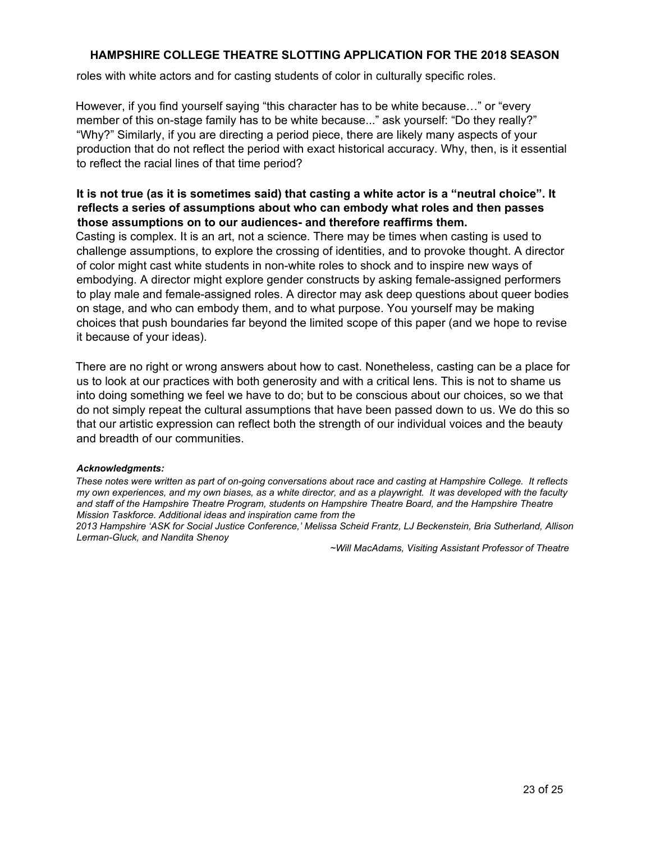roles with white actors and for casting students of color in culturally specific roles.

However, if you find yourself saying "this character has to be white because…" or "every member of this on-stage family has to be white because..." ask yourself: "Do they really?" "Why?" Similarly, if you are directing a period piece, there are likely many aspects of your production that do not reflect the period with exact historical accuracy. Why, then, is it essential to reflect the racial lines of that time period?

## It is not true (as it is sometimes said) that casting a white actor is a "neutral choice". It **reflects a series of assumptions about who can embody what roles and then passes those assumptions on to our audiences- and therefore reaffirms them.**

Casting is complex. It is an art, not a science. There may be times when casting is used to challenge assumptions, to explore the crossing of identities, and to provoke thought. A director of color might cast white students in non-white roles to shock and to inspire new ways of embodying. A director might explore gender constructs by asking female-assigned performers to play male and female-assigned roles. A director may ask deep questions about queer bodies on stage, and who can embody them, and to what purpose. You yourself may be making choices that push boundaries far beyond the limited scope of this paper (and we hope to revise it because of your ideas).

There are no right or wrong answers about how to cast. Nonetheless, casting can be a place for us to look at our practices with both generosity and with a critical lens. This is not to shame us into doing something we feel we have to do; but to be conscious about our choices, so we that do not simply repeat the cultural assumptions that have been passed down to us. We do this so that our artistic expression can reflect both the strength of our individual voices and the beauty and breadth of our communities.

#### *Acknowledgments:*

*These notes were written as part of on-going conversations about race and casting at Hampshire College. It reflects my own experiences, and my own biases, as a white director, and as a playwright. It was developed with the faculty and staff of the Hampshire Theatre Program, students on Hampshire Theatre Board, and the Hampshire Theatre Mission Taskforce. Additional ideas and inspiration came from the*

*2013 Hampshire 'ASK for Social Justice Conference,' Melissa Scheid Frantz, LJ Beckenstein, Bria Sutherland, Allison Lerman-Gluck, and Nandita Shenoy*

*~Will MacAdams, Visiting Assistant Professor of Theatre*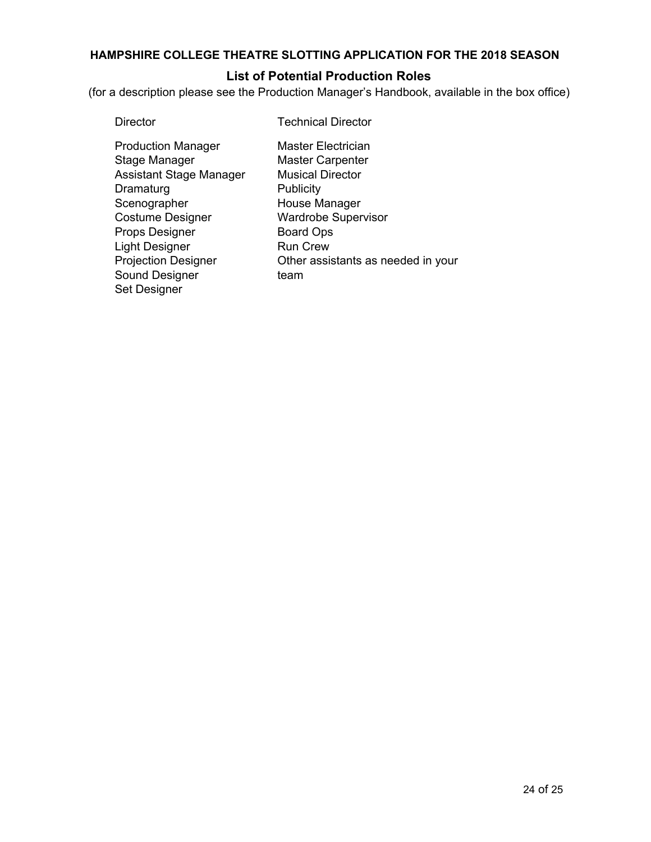# **List of Potential Production Roles**

(for a description please see the Production Manager's Handbook, available in the box office)

| Director |
|----------|
|----------|

**Technical Director** 

Production Manager Stage Manager Assistant Stage Manager **Dramaturg** Scenographer Costume Designer Props Designer Light Designer Projection Designer Sound Designer Set Designer

Master Electrician Master Carpenter Musical Director **Publicity** House Manager Wardrobe Supervisor Board Ops Run Crew Other assistants as needed in your team